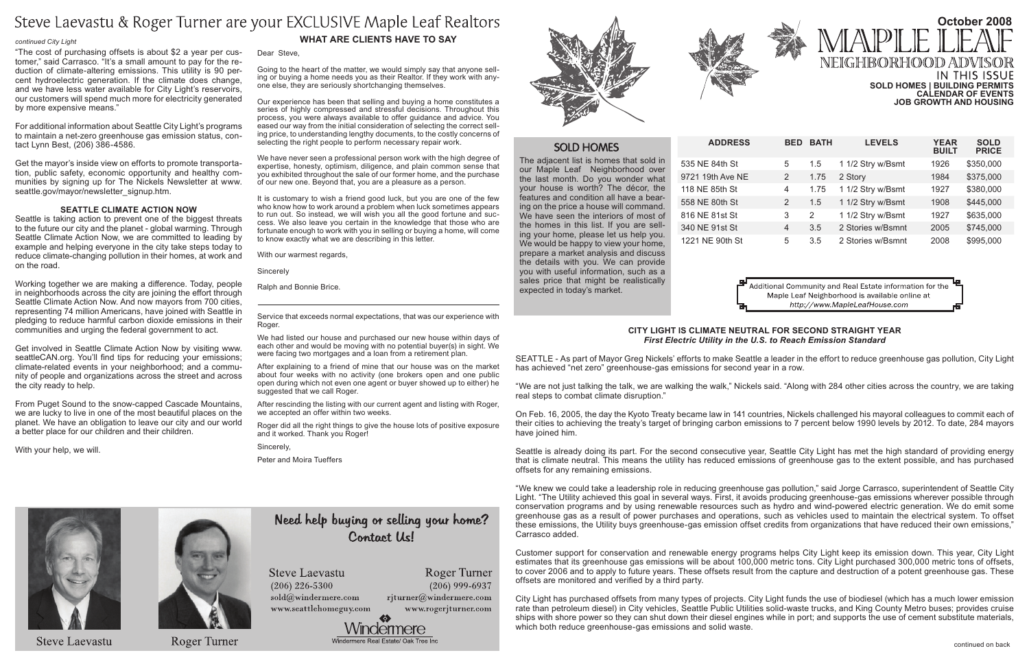**Address Bed Bath Levels Year Built Sold Price** 535 NE 84th St 5 1.5 1 1/2 Stry w/Bsmt 1926 \$350,000 9721 19th Ave NE 2 1.75 2 Story 1984 \$375,000 118 NE 85th St 4 1.75 1 1/2 Stry w/Bsmt 1927 \$380,000 558 NE 80th St 2 1.5 1 1/2 Stry w/Bsmt 1908 \$445,000 816 NE 81st St 3 2 1 1/2 Stry w/Bsmt 1927 \$635,000 340 NE 91st St 4 3.5 2 Stories w/Bsmnt 2005 \$745,000 1221 NE 90th St 5 3.5 2 Stories w/Bsmnt 2008 \$995,000

> Additional Community and Real Estate information for the Maple Leaf Neighborhood is available online at http://www.MapleLeafHouse.com

The adjacent list is homes that sold in our Maple Leaf Neighborhood over the last month. Do you wonder what your house is worth? The décor, the features and condition all have a bearing on the price a house will command. We have seen the interiors of most of the homes in this list. If you are selling your home, please let us help you. We would be happy to view your home, prepare a market analysis and discuss the details with you. We can provide you with useful information, such as a sales price that might be realistically expected in today's market.



### **What Are Clients Have to Say**

Dear Steve,

Going to the heart of the matter, we would simply say that anyone selling or buying a home needs you as their Realtor. If they work with anyone else, they are seriously shortchanging themselves.

Our experience has been that selling and buying a home constitutes a series of highly compressed and stressful decisions. Throughout this process, you were always available to offer guidance and advice. You eased our way from the initial consideration of selecting the correct selling price, to understanding lengthy documents, to the costly concerns of selecting the right people to perform necessary repair work.

We have never seen a professional person work with the high degree of expertise, honesty, optimism, diligence, and plain common sense that you exhibited throughout the sale of our former home, and the purchase of our new one. Beyond that, you are a pleasure as a person.

# **October 2008** NEIGHBORHOOD ADV IN THIS ISSUE **Sold Homes | Building Permits Calendar of Events Job Growth and Housing**

It is customary to wish a friend good luck, but you are one of the few who know how to work around a problem when luck sometimes appears to run out. So instead, we will wish you all the good fortune and success. We also leave you certain in the knowledge that those who are fortunate enough to work with you in selling or buying a home, will come to know exactly what we are describing in this letter.

With our warmest regards,

**Sincerely** 

Ralph and Bonnie Brice.

Service that exceeds normal expectations, that was our experience with Roger.

We had listed our house and purchased our new house within days of each other and would be moving with no potential buyer(s) in sight. We were facing two mortgages and a loan from a retirement plan.

After explaining to a friend of mine that our house was on the market about four weeks with no activity (one brokers open and one public open during which not even one agent or buyer showed up to either) he suggested that we call Roger.

After rescinding the listing with our current agent and listing with Roger, we accepted an offer within two weeks.

Roger did all the right things to give the house lots of positive exposure and it worked. Thank you Roger!

Sincerely,

Peter and Moira Tueffers



**Steve Laevastu** 



**Roger Turner** 

# Need help buying or selling your home? Contact Us!

**Steve Laevastu**  $(206)$  226-5300 sold@windermere.com www.seattlehomeguy.com Roger Turner  $(206)$  999-6937

www.rogerjturner.com







## **SOLD HOMES**

Get the mayor's inside view on efforts to promote transportation, public safety, economic opportunity and healthy communities by signing up for The Nickels Newsletter at www. seattle.gov/mayor/newsletter\_signup.htm.

#### **City Light is Climate Neutral for Second Straight Year**  *First Electric Utility in the U.S. to Reach Emission Standard*

SEATTLE - As part of Mayor Greg Nickels' efforts to make Seattle a leader in the effort to reduce greenhouse gas pollution, City Light has achieved "net zero" greenhouse-gas emissions for second year in a row.

"We are not just talking the talk, we are walking the walk," Nickels said. "Along with 284 other cities across the country, we are taking real steps to combat climate disruption."

On Feb. 16, 2005, the day the Kyoto Treaty became law in 141 countries, Nickels challenged his mayoral colleagues to commit each of their cities to achieving the treaty's target of bringing carbon emissions to 7 percent below 1990 levels by 2012. To date, 284 mayors have joined him.

Seattle is already doing its part. For the second consecutive year, Seattle City Light has met the high standard of providing energy that is climate neutral. This means the utility has reduced emissions of greenhouse gas to the extent possible, and has purchased offsets for any remaining emissions.

"We knew we could take a leadership role in reducing greenhouse gas pollution," said Jorge Carrasco, superintendent of Seattle City Light. "The Utility achieved this goal in several ways. First, it avoids producing greenhouse-gas emissions wherever possible through conservation programs and by using renewable resources such as hydro and wind-powered electric generation. We do emit some greenhouse gas as a result of power purchases and operations, such as vehicles used to maintain the electrical system. To offset these emissions, the Utility buys greenhouse-gas emission offset credits from organizations that have reduced their own emissions," Carrasco added.

Customer support for conservation and renewable energy programs helps City Light keep its emission down. This year, City Light estimates that its greenhouse gas emissions will be about 100,000 metric tons. City Light purchased 300,000 metric tons of offsets, to cover 2006 and to apply to future years. These offsets result from the capture and destruction of a potent greenhouse gas. These offsets are monitored and verified by a third party.

City Light has purchased offsets from many types of projects. City Light funds the use of biodiesel (which has a much lower emission rate than petroleum diesel) in City vehicles, Seattle Public Utilities solid-waste trucks, and King County Metro buses; provides cruise ships with shore power so they can shut down their diesel engines while in port; and supports the use of cement substitute materials, which both reduce greenhouse-gas emissions and solid waste.

rjturner@windermere.com



"The cost of purchasing offsets is about \$2 a year per customer," said Carrasco. "It's a small amount to pay for the reduction of climate-altering emissions. This utility is 90 percent hydroelectric generation. If the climate does change, and we have less water available for City Light's reservoirs, our customers will spend much more for electricity generated by more expensive means."

For additional information about Seattle City Light's programs to maintain a net-zero greenhouse gas emission status, contact Lynn Best, (206) 386-4586.

#### **Seattle Climate Action Now**

Seattle is taking action to prevent one of the biggest threats to the future our city and the planet - global warming. Through Seattle Climate Action Now, we are committed to leading by example and helping everyone in the city take steps today to reduce climate-changing pollution in their homes, at work and on the road.

Working together we are making a difference. Today, people in neighborhoods across the city are joining the effort through Seattle Climate Action Now. And now mayors from 700 cities, representing 74 million Americans, have joined with Seattle in pledging to reduce harmful carbon dioxide emissions in their communities and urging the federal government to act.

Get involved in Seattle Climate Action Now by visiting www. seattleCAN.org. You'll find tips for reducing your emissions; climate-related events in your neighborhood; and a community of people and organizations across the street and across the city ready to help.

From Puget Sound to the snow-capped Cascade Mountains, we are lucky to live in one of the most beautiful places on the planet. We have an obligation to leave our city and our world a better place for our children and their children.

With your help, we will.

# Steve Laevastu & Roger Turner are your EXCLUSIVE Maple Leaf Realtors

#### *continued City Light*